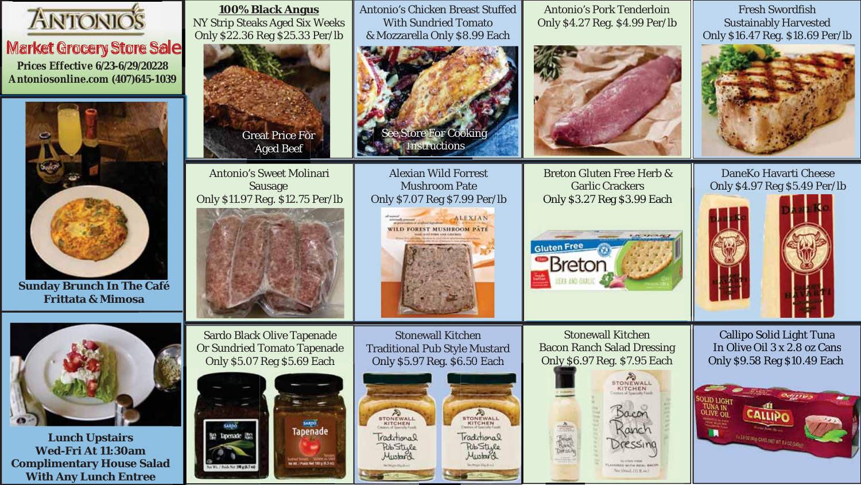